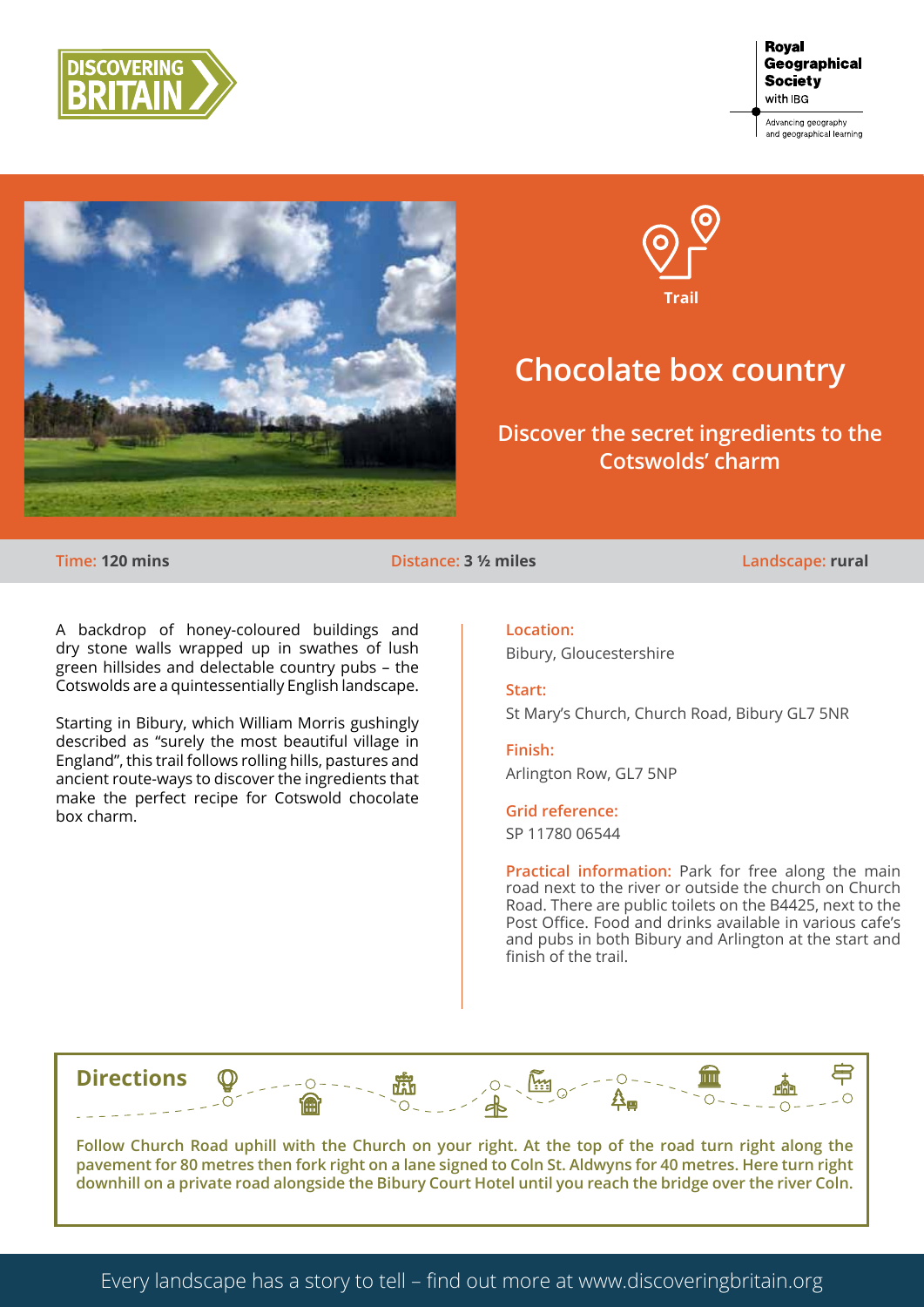





# **Chocolate box country**

### **Discover the secret ingredients to the Cotswolds' charm**

**Time: 120 mins Distance: 3 ½ miles Landscape: rural**

A backdrop of honey-coloured buildings and dry stone walls wrapped up in swathes of lush green hillsides and delectable country pubs – the Cotswolds are a quintessentially English landscape.

Starting in Bibury, which William Morris gushingly described as "surely the most beautiful village in England", this trail follows rolling hills, pastures and ancient route-ways to discover the ingredients that make the perfect recipe for Cotswold chocolate box charm.

**Location:** Bibury, Gloucestershire

**Start:** St Mary's Church, Church Road, Bibury GL7 5NR

**Finish:** Arlington Row, GL7 5NP

**Grid reference:** SP 11780 06544

**Practical information:** Park for free along the main road next to the river or outside the church on Church Road. There are public toilets on the B4425, next to the Post Office. Food and drinks available in various cafe's and pubs in both Bibury and Arlington at the start and finish of the trail.



**Follow Church Road uphill with the Church on your right. At the top of the road turn right along the pavement for 80 metres then fork right on a lane signed to Coln St. Aldwyns for 40 metres. Here turn right downhill on a private road alongside the Bibury Court Hotel until you reach the bridge over the river Coln.**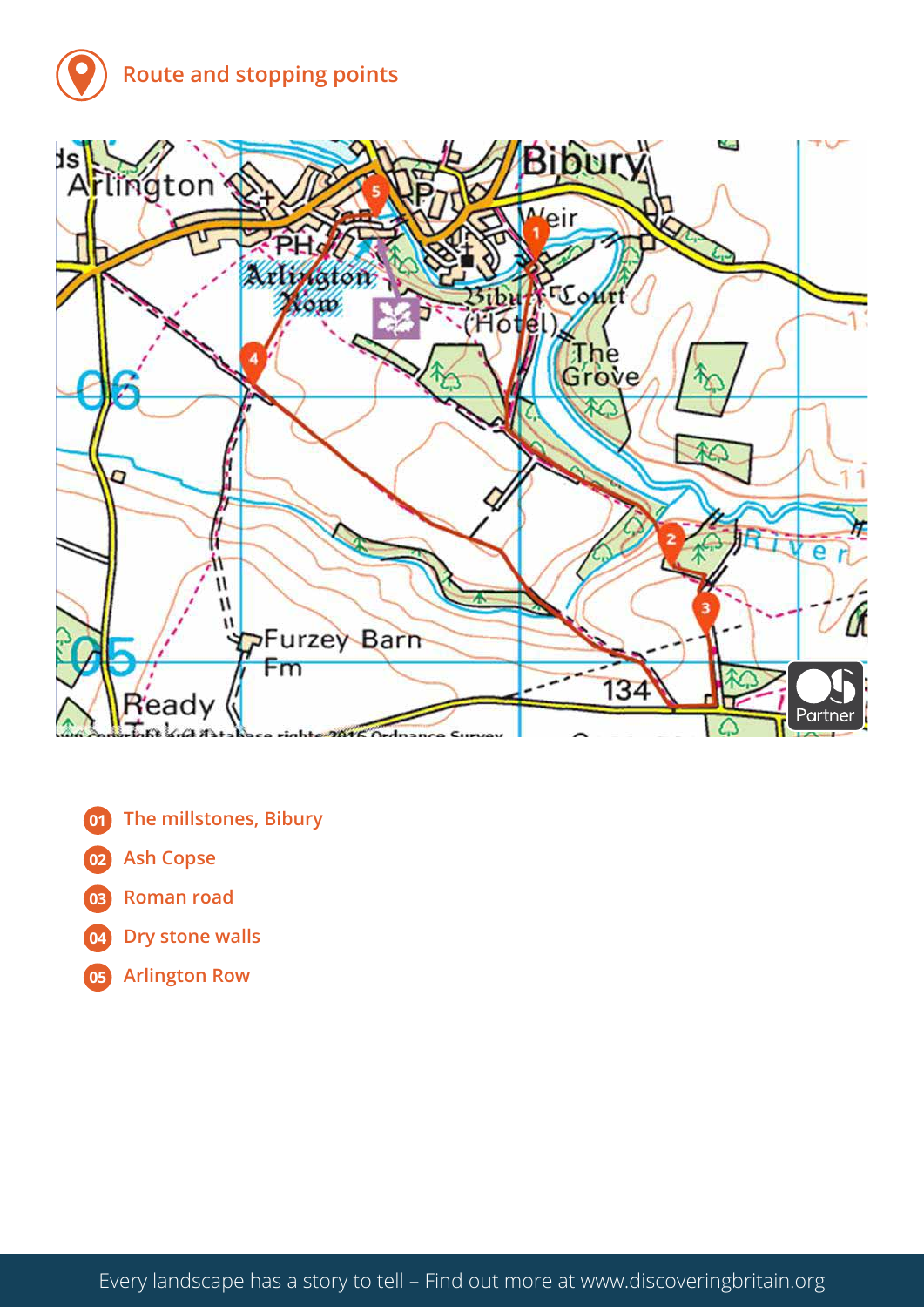## **Route and stopping points**



- **The millstones, Bibury**
- **Ash Copse**
- **Roman road**
- **Dry stone walls**
- **Arlington Row**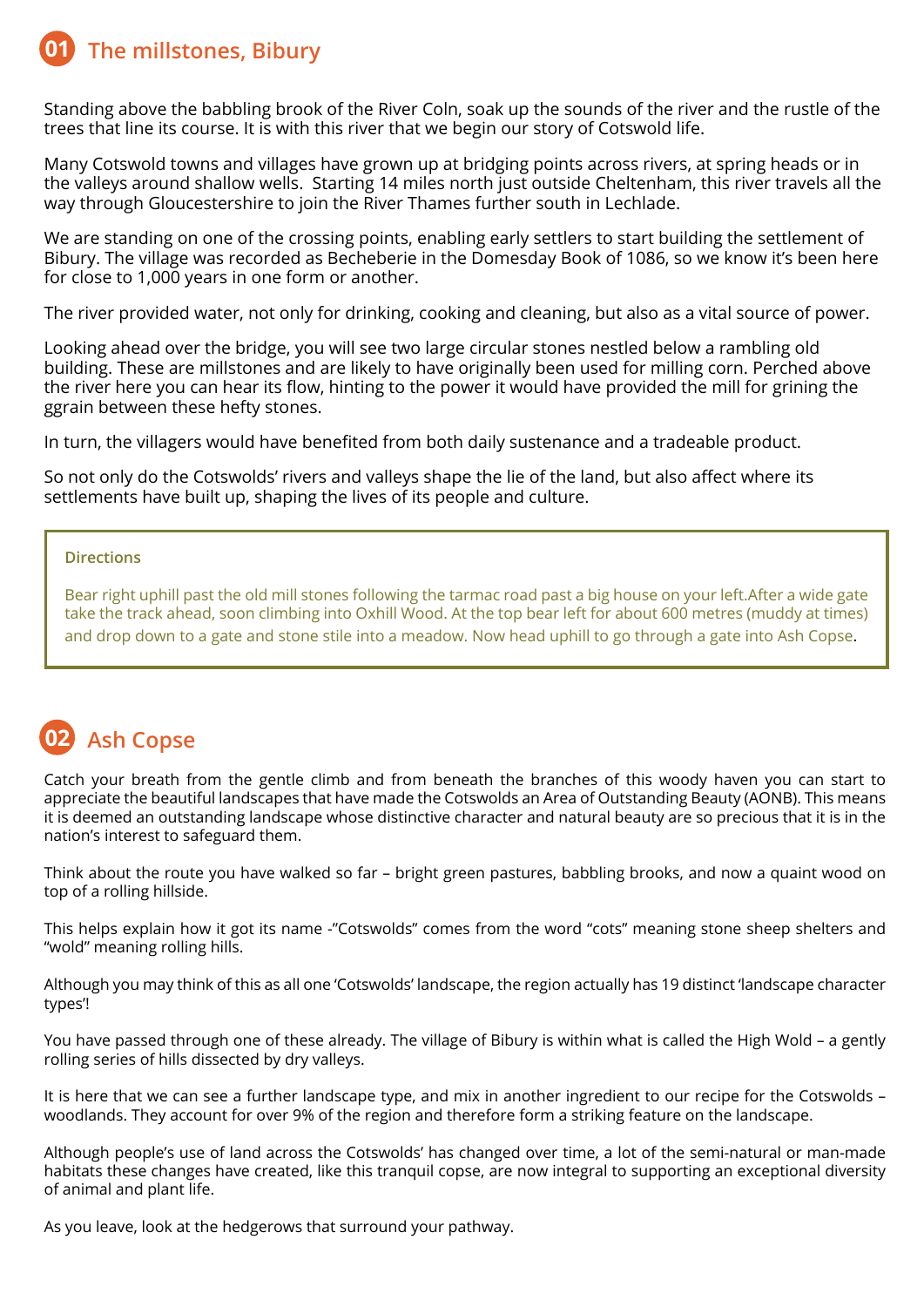#### **The millstones, Bibury 01**

Standing above the babbling brook of the River Coln, soak up the sounds of the river and the rustle of the trees that line its course. It is with this river that we begin our story of Cotswold life.

Many Cotswold towns and villages have grown up at bridging points across rivers, at spring heads or in the valleys around shallow wells. Starting 14 miles north just outside Cheltenham, this river travels all the way through Gloucestershire to join the River Thames further south in Lechlade.

We are standing on one of the crossing points, enabling early settlers to start building the settlement of Bibury. The village was recorded as Becheberie in the Domesday Book of 1086, so we know it's been here for close to 1,000 years in one form or another.

The river provided water, not only for drinking, cooking and cleaning, but also as a vital source of power.

Looking ahead over the bridge, you will see two large circular stones nestled below a rambling old building. These are millstones and are likely to have originally been used for milling corn. Perched above the river here you can hear its flow, hinting to the power it would have provided the mill for grining the ggrain between these hefty stones.

In turn, the villagers would have benefited from both daily sustenance and a tradeable product.

So not only do the Cotswolds' rivers and valleys shape the lie of the land, but also affect where its settlements have built up, shaping the lives of its people and culture.

### **Directions**

Bear right uphill past the old mill stones following the tarmac road past a big house on your left.After a wide gate take the track ahead, soon climbing into Oxhill Wood. At the top bear left for about 600 metres (muddy at times) and drop down to a gate and stone stile into a meadow. Now head uphill to go through a gate into Ash Copse.

#### **Ash Copse 02**

Catch your breath from the gentle climb and from beneath the branches of this woody haven you can start to appreciate the beautiful landscapes that have made the Cotswolds an Area of Outstanding Beauty (AONB). This means it is deemed an outstanding landscape whose distinctive character and natural beauty are so precious that it is in the nation's interest to safeguard them.

Think about the route you have walked so far – bright green pastures, babbling brooks, and now a quaint wood on top of a rolling hillside.

This helps explain how it got its name -"Cotswolds" comes from the word "cots" meaning stone sheep shelters and "wold" meaning rolling hills.

Although you may think of this as all one 'Cotswolds' landscape, the region actually has 19 distinct 'landscape character types'!

You have passed through one of these already. The village of Bibury is within what is called the High Wold – a gently rolling series of hills dissected by dry valleys.

It is here that we can see a further landscape type, and mix in another ingredient to our recipe for the Cotswolds – woodlands. They account for over 9% of the region and therefore form a striking feature on the landscape.

Although people's use of land across the Cotswolds' has changed over time, a lot of the semi-natural or man-made habitats these changes have created, like this tranquil copse, are now integral to supporting an exceptional diversity of animal and plant life.

As you leave, look at the hedgerows that surround your pathway.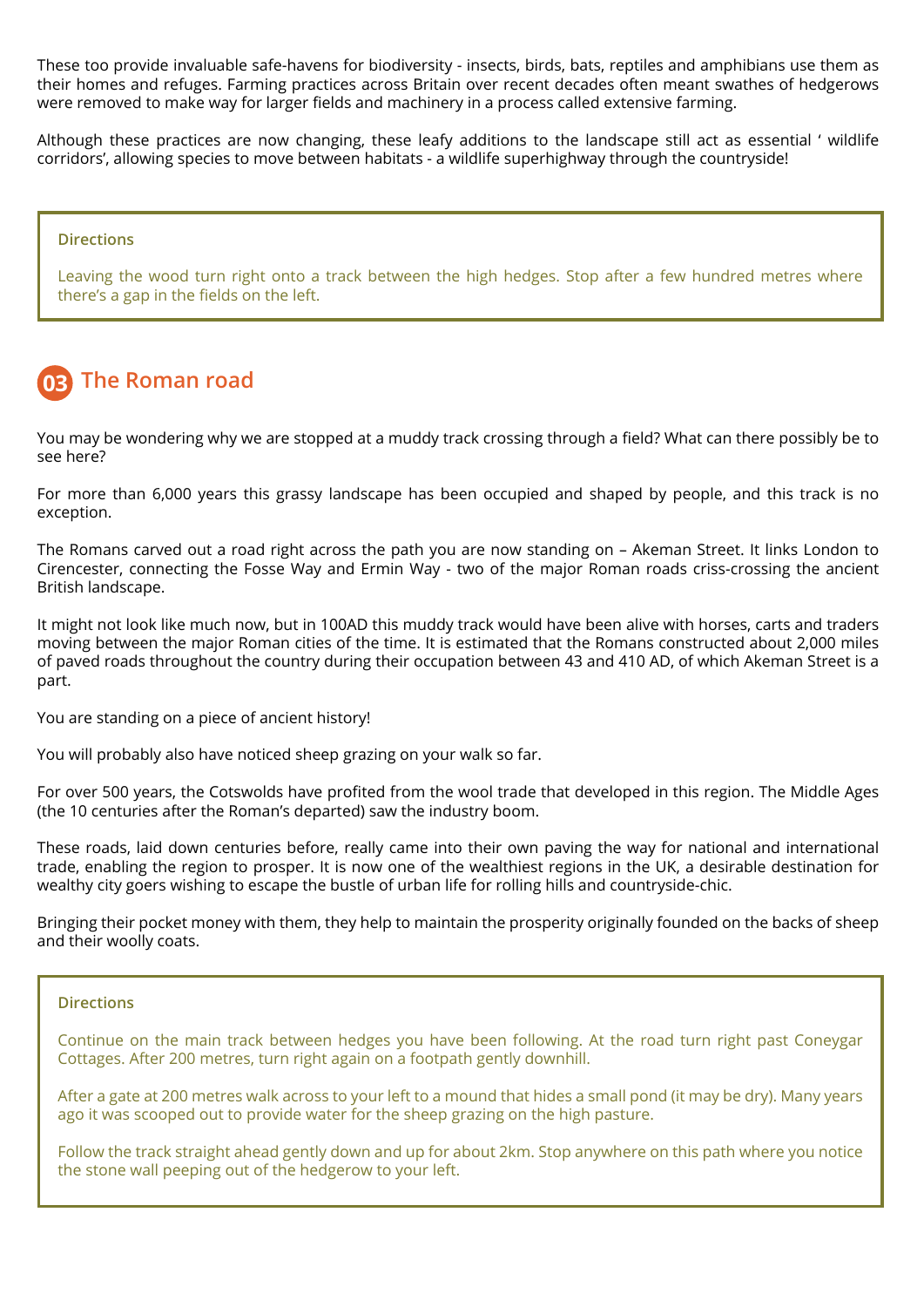These too provide invaluable safe-havens for biodiversity - insects, birds, bats, reptiles and amphibians use them as their homes and refuges. Farming practices across Britain over recent decades often meant swathes of hedgerows were removed to make way for larger fields and machinery in a process called extensive farming.

Although these practices are now changing, these leafy additions to the landscape still act as essential ' wildlife corridors', allowing species to move between habitats - a wildlife superhighway through the countryside!

#### **Directions**

Leaving the wood turn right onto a track between the high hedges. Stop after a few hundred metres where there's a gap in the fields on the left.

#### **The Roman road 03**

You may be wondering why we are stopped at a muddy track crossing through a field? What can there possibly be to see here?

For more than 6,000 years this grassy landscape has been occupied and shaped by people, and this track is no exception.

The Romans carved out a road right across the path you are now standing on – Akeman Street. It links London to Cirencester, connecting the Fosse Way and Ermin Way - two of the major Roman roads criss-crossing the ancient British landscape.

It might not look like much now, but in 100AD this muddy track would have been alive with horses, carts and traders moving between the major Roman cities of the time. It is estimated that the Romans constructed about 2,000 miles of paved roads throughout the country during their occupation between 43 and 410 AD, of which Akeman Street is a part.

You are standing on a piece of ancient history!

You will probably also have noticed sheep grazing on your walk so far.

For over 500 years, the Cotswolds have profited from the wool trade that developed in this region. The Middle Ages (the 10 centuries after the Roman's departed) saw the industry boom.

These roads, laid down centuries before, really came into their own paving the way for national and international trade, enabling the region to prosper. It is now one of the wealthiest regions in the UK, a desirable destination for wealthy city goers wishing to escape the bustle of urban life for rolling hills and countryside-chic.

Bringing their pocket money with them, they help to maintain the prosperity originally founded on the backs of sheep and their woolly coats.

#### **Directions**

Continue on the main track between hedges you have been following. At the road turn right past Coneygar Cottages. After 200 metres, turn right again on a footpath gently downhill.

After a gate at 200 metres walk across to your left to a mound that hides a small pond (it may be dry). Many years ago it was scooped out to provide water for the sheep grazing on the high pasture.

Follow the track straight ahead gently down and up for about 2km. Stop anywhere on this path where you notice the stone wall peeping out of the hedgerow to your left.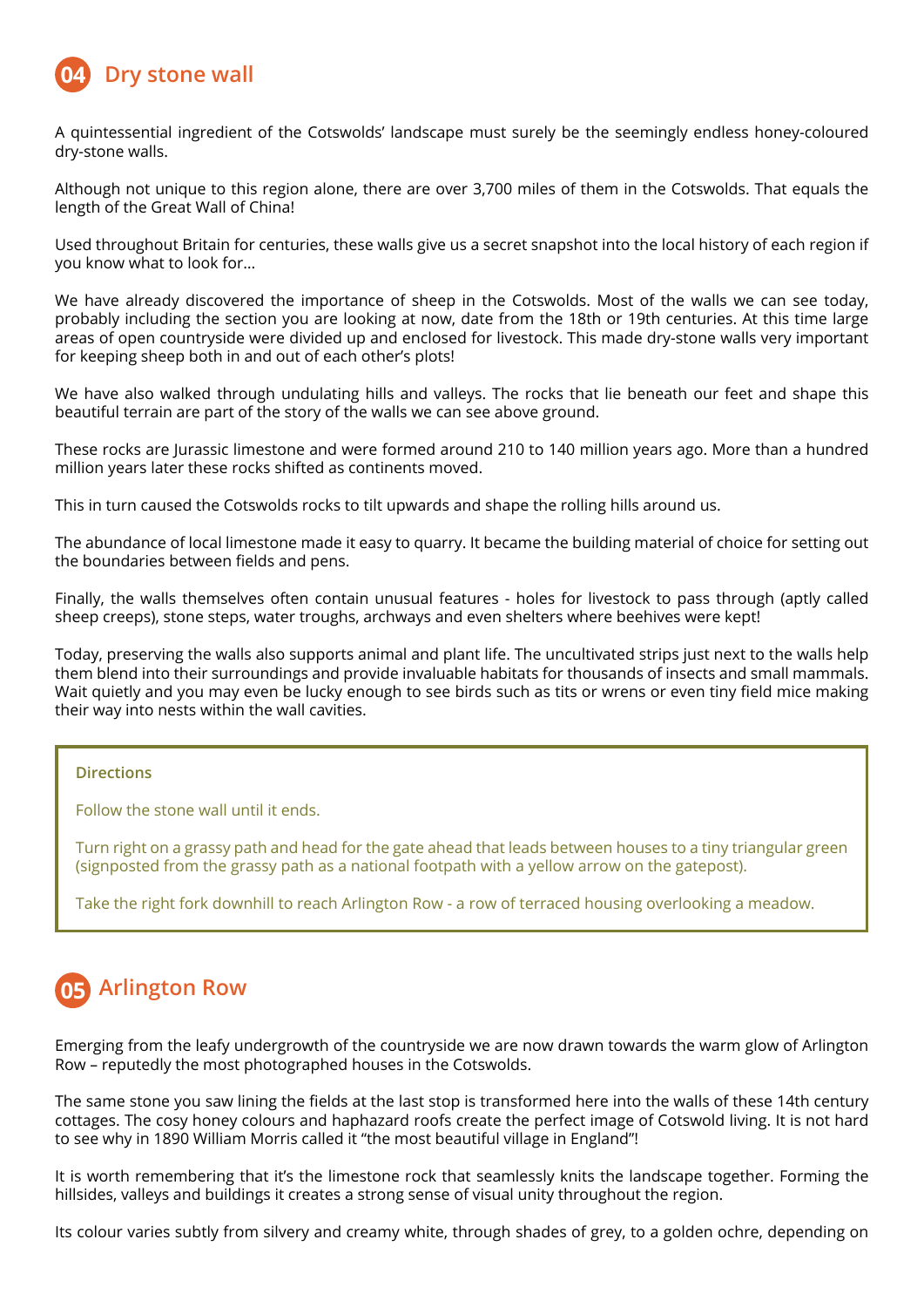

A quintessential ingredient of the Cotswolds' landscape must surely be the seemingly endless honey-coloured dry-stone walls.

Although not unique to this region alone, there are over 3,700 miles of them in the Cotswolds. That equals the length of the Great Wall of China!

Used throughout Britain for centuries, these walls give us a secret snapshot into the local history of each region if you know what to look for…

We have already discovered the importance of sheep in the Cotswolds. Most of the walls we can see today, probably including the section you are looking at now, date from the 18th or 19th centuries. At this time large areas of open countryside were divided up and enclosed for livestock. This made dry-stone walls very important for keeping sheep both in and out of each other's plots!

We have also walked through undulating hills and valleys. The rocks that lie beneath our feet and shape this beautiful terrain are part of the story of the walls we can see above ground.

These rocks are Jurassic limestone and were formed around 210 to 140 million years ago. More than a hundred million years later these rocks shifted as continents moved.

This in turn caused the Cotswolds rocks to tilt upwards and shape the rolling hills around us.

The abundance of local limestone made it easy to quarry. It became the building material of choice for setting out the boundaries between fields and pens.

Finally, the walls themselves often contain unusual features - holes for livestock to pass through (aptly called sheep creeps), stone steps, water troughs, archways and even shelters where beehives were kept!

Today, preserving the walls also supports animal and plant life. The uncultivated strips just next to the walls help them blend into their surroundings and provide invaluable habitats for thousands of insects and small mammals. Wait quietly and you may even be lucky enough to see birds such as tits or wrens or even tiny field mice making their way into nests within the wall cavities.

### **Directions**

Follow the stone wall until it ends.

Turn right on a grassy path and head for the gate ahead that leads between houses to a tiny triangular green (signposted from the grassy path as a national footpath with a yellow arrow on the gatepost).

Take the right fork downhill to reach Arlington Row - a row of terraced housing overlooking a meadow.

## **Arlington Row 05**

Emerging from the leafy undergrowth of the countryside we are now drawn towards the warm glow of Arlington Row – reputedly the most photographed houses in the Cotswolds.

The same stone you saw lining the fields at the last stop is transformed here into the walls of these 14th century cottages. The cosy honey colours and haphazard roofs create the perfect image of Cotswold living. It is not hard to see why in 1890 William Morris called it "the most beautiful village in England"!

It is worth remembering that it's the limestone rock that seamlessly knits the landscape together. Forming the hillsides, valleys and buildings it creates a strong sense of visual unity throughout the region.

Its colour varies subtly from silvery and creamy white, through shades of grey, to a golden ochre, depending on